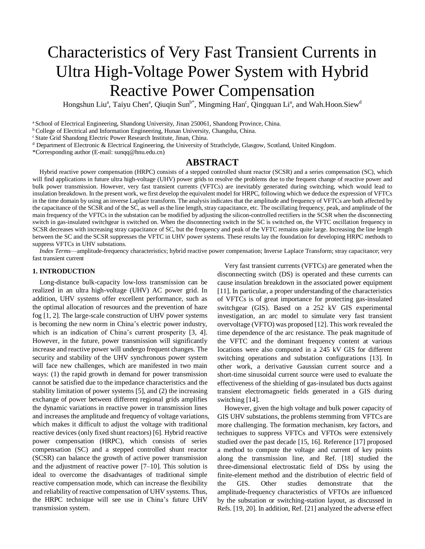# Characteristics of Very Fast Transient Currents in Ultra High-Voltage Power System with Hybrid Reactive Power Compensation

Hongshun Liu<sup>a</sup>, Taiyu Chen<sup>a</sup>, Qiuqin Sun<sup>b\*</sup>, Mingming Han<sup>c</sup>, Qingquan Li<sup>a</sup>, and Wah.Hoon.Siew<sup>d</sup>

<sup>a</sup> School of Electrical Engineering, Shandong University, Jinan 250061, Shandong Province, China.

<sup>b</sup> College of Electrical and Information Engineering, Hunan University, Changsha, China.

<sup>c</sup> State Grid Shandong Electric Power Research Institute, Jinan, China.

<sup>d</sup> Department of Electronic & Electrical Engineering, the University of Strathclyde, Glasgow, Scotland, United Kingdom.

\*Corresponding author (E-mail: [sunqq@hnu.edu.cn\)](mailto:sunqq@hnu.edu.cn)

## **ABSTRACT**

Hybrid reactive power compensation (HRPC) consists of a stepped controlled shunt reactor (SCSR) and a series compensation (SC), which will find applications in future ultra high-voltage (UHV) power grids to resolve the problems due to the frequent change of reactive power and bulk power transmission. However, very fast transient currents (VFTCs) are inevitably generated during switching, which would lead to insulation breakdown. In the present work, we first develop the equivalent model for HRPC, following which we deduce the expression of VFTCs in the time domain by using an inverse Laplace transform. The analysis indicates that the amplitude and frequency of VFTCs are both affected by the capacitance of the SCSR and of the SC, as well as the line length, stray capacitance, etc. The oscillating frequency, peak, and amplitude of the main frequency of the VFTCs in the substation can be modified by adjusting the silicon-controlled rectifiers in the SCSR when the disconnecting switch in gas-insulated switchgear is switched on. When the disconnecting switch in the SC is switched on, the VFTC oscillation frequency in SCSR decreases with increasing stray capacitance of SC, but the frequency and peak of the VFTC remains quite large. Increasing the line length between the SC and the SCSR suppresses the VFTC in UHV power systems. These results lay the foundation for developing HRPC methods to suppress VFTCs in UHV substations.

*Index Terms*—amplitude-frequency characteristics; hybrid reactive power compensation; Inverse Laplace Transform; stray capacitance; very fast transient current

#### **1. INTRODUCTION**

Long-distance bulk-capacity low-loss transmission can be realized in an ultra high-voltage (UHV) AC power grid. In addition, UHV systems offer excellent performance, such as the optimal allocation of resources and the prevention of haze fog [1, 2]. The large-scale construction of UHV power systems is becoming the new norm in China's electric power industry, which is an indication of China's current prosperity [3, 4]. However, in the future, power transmission will significantly increase and reactive power will undergo frequent changes. The security and stability of the UHV synchronous power system will face new challenges, which are manifested in two main ways: (1) the rapid growth in demand for power transmission cannot be satisfied due to the impedance characteristics and the stability limitation of power systems [5], and (2) the increasing exchange of power between different regional grids amplifies the dynamic variations in reactive power in transmission lines and increases the amplitude and frequency of voltage variations, which makes it difficult to adjust the voltage with traditional reactive devices (only fixed shunt reactors) [6]. Hybrid reactive power compensation (HRPC), which consists of series compensation (SC) and a stepped controlled shunt reactor (SCSR) can balance the growth of active power transmission and the adjustment of reactive power [7–10]. This solution is ideal to overcome the disadvantages of traditional simple reactive compensation mode, which can increase the flexibility and reliability of reactive compensation of UHV systems. Thus, the HRPC technique will see use in China's future UHV transmission system.

Very fast transient currents (VFTCs) are generated when the disconnecting switch (DS) is operated and these currents can cause insulation breakdown in the associated power equipment [11]. In particular, a proper understanding of the characteristics of VFTCs is of great importance for protecting gas-insulated switchgear (GIS). Based on a 252 kV GIS experimental investigation, an arc model to simulate very fast transient overvoltage (VFTO) was proposed [12]. This work revealed the time dependence of the arc resistance. The peak magnitude of the VFTC and the dominant frequency content at various locations were also computed in a 245 kV GIS for different switching operations and substation configurations [13]. In other work, a derivative Gaussian current source and a short-time sinusoidal current source were used to evaluate the effectiveness of the shielding of gas-insulated bus ducts against transient electromagnetic fields generated in a GIS during switching [14].

However, given the high voltage and bulk power capacity of GIS UHV substations, the problems stemming from VFTCs are more challenging. The formation mechanism, key factors, and techniques to suppress VFTCs and VFTOs were extensively studied over the past decade [15, 16]. Reference [17] proposed a method to compute the voltage and current of key points along the transmission line, and Ref. [18] studied the three-dimensional electrostatic field of DSs by using the finite-element method and the distribution of electric field of the GIS. Other studies demonstrate that the amplitude-frequency characteristics of VFTOs are influenced by the substation or switching-station layout, as discussed in Refs. [19, 20]. In addition, Ref. [21] analyzed the adverse effect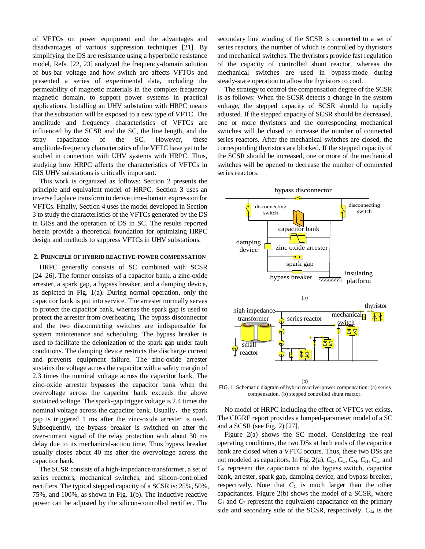of VFTOs on power equipment and the advantages and disadvantages of various suppression techniques [21]. By simplifying the DS arc resistance using a hyperbolic resistance model, Refs. [22, 23] analyzed the frequency-domain solution of bus-bar voltage and how switch arc affects VFTOs and presented a series of experimental data, including the permeability of magnetic materials in the complex-frequency magnetic domain, to support power systems in practical applications. Installing an UHV substation with HRPC means that the substation will be exposed to a new type of VFTC. The amplitude and frequency characteristics of VFTCs are influenced by the SCSR and the SC, the line length, and the stray capacitance of the SC. However, these amplitude-frequency characteristics of the VFTC have yet to be studied in connection with UHV systems with HRPC. Thus, studying how HRPC affects the characteristics of VFTCs in GIS UHV substations is critically important.

This work is organized as follows: Section 2 presents the principle and equivalent model of HRPC. Section 3 uses an inverse Laplace transform to derive time-domain expression for VFTCs. Finally, Section 4 uses the model developed in Section 3 to study the characteristics of the VFTCs generated by the DS in GISs and the operation of DS in SC. The results reported herein provide a theoretical foundation for optimizing HRPC design and methods to suppress VFTCs in UHV substations.

#### **2. PRINCIPLE OF HYBRID REACTIVE-POWER COMPENSATION**

HRPC generally consists of SC combined with SCSR [24–26]. The former consists of a capacitor bank, a zinc-oxide arrester, a spark gap, a bypass breaker, and a damping device, as depicted in Fig. 1(a). During normal operation, only the capacitor bank is put into service. The arrester normally serves to protect the capacitor bank, whereas the spark gap is used to protect the arrester from overheating. The bypass disconnector and the two disconnecting switches are indispensable for system maintenance and scheduling. The bypass breaker is used to facilitate the deionization of the spark gap under fault conditions. The damping device restricts the discharge current and prevents equipment failure. The zinc-oxide arrester sustains the voltage across the capacitor with a safety margin of 2.3 times the nominal voltage across the capacitor bank. The zinc-oxide arrester bypasses the capacitor bank when the overvoltage across the capacitor bank exceeds the above sustained voltage. The spark-gap trigger voltage is 2.4 times the nominal voltage across the capacitor bank. Usually, the spark gap is triggered 1 ms after the zinc-oxide arrester is used. Subsequently, the bypass breaker is switched on after the over-current signal of the relay protection with about 30 ms delay due to its mechanical-action time. Thus bypass breaker usually closes about 40 ms after the overvoltage across the capacitor bank.

The SCSR consists of a high-impedance transformer, a set of series reactors, mechanical switches, and silicon-controlled rectifiers. The typical stepped capacity of a SCSR is: 25%, 50%, 75%, and 100%, as shown in Fig. 1(b). The inductive reactive power can be adjusted by the silicon-controlled rectifier. The

secondary line winding of the SCSR is connected to a set of series reactors, the number of which is controlled by thyristors and mechanical switches. The thyristors provide fast regulation of the capacity of controlled shunt reactor, whereas the mechanical switches are used in bypass-mode during steady-state operation to allow the thyristors to cool.

The strategy to control the compensation degree of the SCSR is as follows: When the SCSR detects a change in the system voltage, the stepped capacity of SCSR should be rapidly adjusted. If the stepped capacity of SCSR should be decreased, one or more thyristors and the corresponding mechanical switches will be closed to increase the number of connected series reactors. After the mechanical switches are closed, the corresponding thyristors are blocked. If the stepped capacity of the SCSR should be increased, one or more of the mechanical switches will be opened to decrease the number of connected series reactors.



(b) FIG. 1. Schematic diagram of hybrid reactive-power compensation: (a) series compensation, (b) stepped controlled shunt reactor.

No model of HRPC including the effect of VFTCs yet exists. The CIGRE report provides a lumped-parameter model of a SC and a SCSR (see Fig. 2) [27].

Figure 2(a) shows the SC model. Considering the real operating conditions, the two DSs at both ends of the capacitor bank are closed when a VFTC occurs. Thus, these two DSs are not modeled as capacitors. In Fig. 2(a),  $C_D$ ,  $C_C$ ,  $C_M$ ,  $C_H$ ,  $C_L$ , and *C*<sub>S</sub> represent the capacitance of the bypass switch, capacitor bank, arrester, spark gap, damping device, and bypass breaker, respectively. Note that  $C<sub>C</sub>$  is much larger than the other capacitances. Figure 2(b) shows the model of a SCSR, where  $C_1$  and  $C_2$  represent the equivalent capacitance on the primary side and secondary side of the SCSR, respectively.  $C_{12}$  is the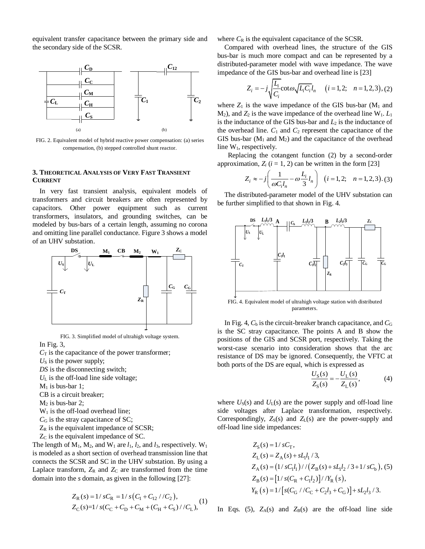equivalent transfer capacitance between the primary side and the secondary side of the SCSR.



FIG. 2. Equivalent model of hybrid reactive power compensation: (a) series compensation, (b) stepped controlled shunt reactor.

#### **3. THEORETICAL ANALYSIS OF VERY FAST TRANSIENT CURRENT**

In very fast transient analysis, equivalent models of transformers and circuit breakers are often represented by capacitors. Other power equipment such as current transformers, insulators, and grounding switches, can be modeled by bus-bars of a certain length, assuming no corona and omitting line parallel conductance. Figure 3 shows a model of an UHV substation.



FIG. 3. Simplified model of ultrahigh voltage system.

In Fig. 3,

- $C_T$  is the capacitance of the power transformer;
- $U<sub>S</sub>$  is the power supply;
- *DS* is the disconnecting switch;
- *U*<sup>L</sup> is the off-load line side voltage;
- $M_1$  is bus-bar 1;
- CB is a circuit breaker;
- $M<sub>2</sub>$  is bus-bar 2;
- $W<sub>1</sub>$  is the off-load overhead line;
- *C*<sub>G</sub> is the stray capacitance of SC;
- $Z_R$  is the equivalent impedance of SCSR;
- Z<sub>C</sub> is the equivalent impedance of SC.

The length of  $M_1$ ,  $M_2$ , and  $W_1$  are  $l_1$ ,  $l_2$ , and  $l_3$ , respectively.  $W_1$ is modeled as a short section of overhead transmission line that connects the SCSR and SC in the UHV substation. By using a Laplace transform,  $Z_R$  and  $Z_C$  are transformed from the time domain into the *s* domain, as given in the following [27]:

$$
Z_{\rm R}(s) = 1/sC_{\rm R} = 1/s(C_1 + C_{12}/C_2),
$$
  
\n
$$
Z_{\rm C}(s) = 1/s(C_{\rm C} + C_{\rm D} + C_{\rm M} + (C_{\rm H} + C_{\rm S})/C_{\rm L}),
$$
 (1)

where  $C_R$  is the equivalent capacitance of the SCSR.

Compared with overhead lines, the structure of the GIS bus-bar is much more compact and can be represented by a distributed-parameter model with wave impedance. The wave impedance of the GIS bus-bar and overhead line is [23]

$$
Z_i = -j \sqrt{\frac{L_i}{C_i}} \cot \omega \sqrt{L_i C_i} l_n \quad (i = 1, 2; \quad n = 1, 2, 3), (2)
$$

where  $Z_1$  is the wave impedance of the GIS bus-bar  $(M_1 \text{ and }$  $M_2$ ), and  $Z_2$  is the wave impedance of the overhead line  $W_1$ .  $L_1$ is the inductance of the GIS bus-bar and  $L_2$  is the inductance of the overhead line.  $C_1$  and  $C_2$  represent the capacitance of the GIS bus-bar ( $M_1$  and  $M_2$ ) and the capacitance of the overhead line  $W_1$ , respectively.

Replacing the cotangent function (2) by a second-order

approximation, 
$$
Z_i
$$
 ( $i = 1, 2$ ) can be written in the form [23]  

$$
Z_i \approx -j \left( \frac{1}{\omega C_i l_n} - \omega \frac{L_i}{3} l_n \right) \quad (i = 1, 2; \quad n = 1, 2, 3) \tag{3}
$$

The distributed-parameter model of the UHV substation can be further simplified to that shown in Fig. 4.



FIG. 4. Equivalent model of ultrahigh voltage station with distributed parameters.

In Fig. 4,  $C<sub>b</sub>$  is the circuit-breaker branch capacitance, and  $C<sub>G</sub>$ is the SC stray capacitance. The points A and B show the positions of the GIS and SCSR port, respectively. Taking the worst-case scenario into consideration shows that the arc resistance of DS may be ignored. Consequently, the VFTC at both ports of the DS are equal, which is expressed as

$$
\frac{U_{S}(s)}{Z_{S}(s)} = -\frac{U_{L}(s)}{Z_{L}(s)},
$$
\n(4)

where  $U_s(s)$  and  $U_l(s)$  are the power supply and off-load line side voltages after Laplace transformation, respectively. Correspondingly,  $Z_S(s)$  and  $Z_L(s)$  are the power-supply and off-load line side impedances:

$$
Z_S(s) = 1/sC_T,
$$
  
\n
$$
Z_L(s) = Z_A(s) + sL_l l_1 / 3,
$$
  
\n
$$
Z_A(s) = (1/sC_l l_1) / / (Z_B(s) + sL_l l_2 / 3 + 1/sC_b), (5)
$$
  
\n
$$
Z_B(s) = [1/s(C_R + C_l l_2)] / / Y_R(s),
$$
  
\n
$$
Y_R(s) = 1/[s(C_G / / C_C + C_2 l_3 + C_G)] + sL_2 l_3 / 3.
$$

In Eqs. (5),  $Z_A(s)$  and  $Z_B(s)$  are the off-load line side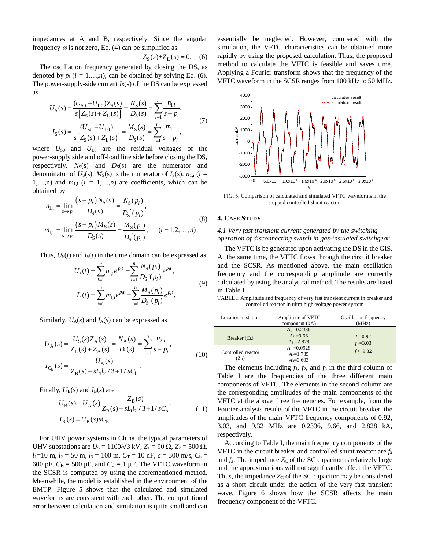impedances at A and B, respectively. Since the angular frequency  $\omega$  is not zero, Eq. (4) can be simplified as

$$
Z_{\rm S}(s) + Z_{\rm L}(s) = 0. \quad (6)
$$

The oscillation frequency generated by closing the DS, as denoted by  $p_i$  ( $i = 1,...,n$ ), can be obtained by solving Eq. (6). The power-supply-side current  $I_S(s)$  of the DS can be expressed as

$$
U_{S}(s) = \frac{(U_{S0} - U_{L0})Z_{S}(s)}{s[Z_{S}(s) + Z_{L}(s)]} = \frac{N_{S}(s)}{D_{S}(s)} = \sum_{i=1}^{n} \frac{n_{i,i}}{s - p_{i}},
$$
  
\n
$$
I_{S}(s) = \frac{(U_{S0} - U_{L0})}{s[Z_{S}(s) + Z_{L}(s)]} = \frac{M_{S}(s)}{D_{S}(s)} = \sum_{i=1}^{n} \frac{m_{i,i}}{s - p_{i}},
$$
\n(7)

where  $U_{\text{S0}}$  and  $U_{\text{L0}}$  are the residual voltages of the power-supply side and off-load line side before closing the DS, respectively.  $N_S(s)$  and  $D_S(s)$  are the numerator and denominator of  $U_S(s)$ .  $M_S(s)$  is the numerator of  $I_S(s)$ .  $n_{1,i}$  (*i* = 1,…,n) and  $m_{1,i}$  ( $i = 1,...,n$ ) are coefficients, which can be obtained by

ined by  
\n
$$
n_{1,i} = \lim_{s \to p_i} \frac{(s - p_i)N_S(s)}{D_S(s)} = \frac{N_S(p_i)}{D_S'(p_i)},
$$
\n
$$
m_{1,i} = \lim_{s \to p_i} \frac{(s - p_i)M_S(s)}{D_S(s)} = \frac{M_S(p_i)}{D_S'(p_i)}, \quad (i = 1, 2, ..., n).
$$
\n(8)

Thus, 
$$
U_S(t)
$$
 and  $I_S(t)$  in the time domain can be expressed as  
\n
$$
U_s(t) = \sum_{i=1}^n n_{1,i} e^{p_i t} = \sum_{i=1}^n \frac{N_S(p_i)}{D_S(p_i)} e^{p_i t},
$$
\n(9)  
\n
$$
I_s(t) = \sum_{i=1}^n m_{1,i} e^{p_i t} = \sum_{i=1}^n \frac{M_S(p_i)}{D_S(p_i)} e^{p_i t}.
$$

Similarly,  $U_A(s)$  and  $I_A(s)$  can be expressed as

$$
U_{A}(s) = \frac{U_{S}(s)Z_{A}(s)}{Z_{L}(s) + Z_{A}(s)} = \frac{N_{A}(s)}{D_{I}(s)} = \sum_{i=1}^{n} \frac{n_{2,i}}{s - p_{i}},
$$
  
\n
$$
I_{C_{b}}(s) = \frac{U_{A}(s)}{Z_{B}(s) + sL_{I}l_{2} / 3 + 1 / sC_{b}}.
$$
\n(10)

Finally, 
$$
U_B(s)
$$
 and  $I_B(s)$  are  
\n
$$
U_B(s) = U_A(s) \frac{Z_B(s)}{Z_B(s) + sL_1l_2 / 3 + 1 / sC_b},
$$
\n
$$
I_R(s) = U_B(s)sC_R.
$$
\n(11)

For UHV power systems in China, the typical parameters of UHV substations are  $U_s = 1100\sqrt{3} \text{ kV}$ ,  $Z_1 = 90 \Omega$ ,  $Z_2 = 500 \Omega$ ,  $l_1=10$  m,  $l_2=50$  m,  $l_3=100$  m,  $C_T=10$  nF,  $c=300$  m/s,  $C_b=$ 600 pF,  $C_R = 500$  pF, and  $C_C = 1$  µF. The VFTC waveform in the SCSR is computed by using the aforementioned method. Meanwhile, the model is established in the environment of the EMTP. Figure 5 shows that the calculated and simulated waveforms are consistent with each other. The computational error between calculation and simulation is quite small and can

essentially be neglected. However, compared with the simulation, the VFTC characteristics can be obtained more rapidly by using the proposed calculation. Thus, the proposed method to calculate the VFTC is feasible and saves time. Applying a Fourier transform shows that the frequency of the VFTC waveform in the SCSR ranges from 100 kHz to 50 MHz.



FIG. 5. Comparison of calculated and simulated VFTC waveforms in the stepped controlled shunt reactor.

#### **4. CASE STUDY**

## *4.1 Very fast transient current generated by the switching operation of disconnecting switch in gas-insulated switchgear*

The VFTC is be generated upon activating the DS in the GIS. At the same time, the VFTC flows through the circuit breaker and the SCSR. As mentioned above, the main oscillation frequency and the corresponding amplitude are correctly calculated by using the analytical method. The results are listed in Table I.

TABLE I. Amplitude and frequency of very fast transient current in breaker and controlled reactor in ultra high-voltage power system

| Location in station           | Amplitude of VFTC | Oscillation frequency |
|-------------------------------|-------------------|-----------------------|
|                               | component (kA)    | (MHz)                 |
|                               | $A_1 = 0.2336$    |                       |
| Breaker $(C_h)$               | $A_2 = 9.66$      | $f_1 = 0.92$          |
|                               | $A_3 = 2.828$     | $f_2 = 3.03$          |
| Controlled reactor<br>$(Z_R)$ | $A_1 = 0.0928$    | $f3=9.32$             |
|                               | $A_2=1.785$       |                       |
|                               | $A = 0.603$       |                       |

The elements including  $f_1$ ,  $f_2$ , and  $f_3$  in the third column of Table I are the frequencies of the three different main components of VFTC. The elements in the second column are the corresponding amplitudes of the main components of the VFTC at the above three frequencies. For example, from the Fourier-analysis results of the VFTC in the circuit breaker, the amplitudes of the main VFTC frequency components of 0.92, 3.03, and 9.32 MHz are 0.2336, 9.66, and 2.828 kA, respectively.

According to Table I, the main frequency components of the VFTC in the circuit breaker and controlled shunt reactor are  $f_2$ and  $f_3$ . The impedance  $Z_C$  of the SC capacitor is relatively large and the approximations will not significantly affect the VFTC. Thus, the impedance  $Z<sub>C</sub>$  of the SC capacitor may be considered as a short circuit under the action of the very fast transient wave. Figure 6 shows how the SCSR affects the main frequency component of the VFTC.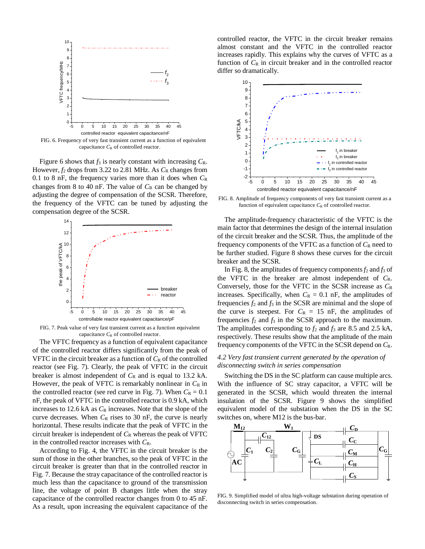

FIG. 6. Frequency of very fast transient current as a function of equivalent capacitance  $C_R$  of controlled reactor.

Figure 6 shows that  $f_3$  is nearly constant with increasing  $C_R$ . However,  $f_2$  drops from 3.22 to 2.81 MHz. As  $C_R$  changes from 0.1 to 8 nF, the frequency varies more than it does when *C*<sup>R</sup> changes from 8 to 40 nF. The value of  $C_R$  can be changed by adjusting the degree of compensation of the SCSR. Therefore, the frequency of the VFTC can be tuned by adjusting the compensation degree of the SCSR.



FIG. 7. Peak value of very fast transient current as a function equivalent capacitance  $C_R$  of controlled reactor.

The VFTC frequency as a function of equivalent capacitance of the controlled reactor differs significantly from the peak of VFTC in the circuit breaker as a function of  $C_R$  of the controlled reactor (see Fig. 7). Clearly, the peak of VFTC in the circuit breaker is almost independent of  $C_R$  and is equal to 13.2 kA. However, the peak of VFTC is remarkably nonlinear in  $C_R$  in the controlled reactor (see red curve in Fig. 7). When  $C_R = 0.1$ nF, the peak of VFTC in the controlled reactor is 0.9 kA, which increases to 12.6 kA as  $C_R$  increases. Note that the slope of the curve decreases. When  $C_R$  rises to 30 nF, the curve is nearly horizontal. These results indicate that the peak of VFTC in the circuit breaker is independent of  $C_R$  whereas the peak of VFTC in the controlled reactor increases with *C*R.

According to Fig. 4, the VFTC in the circuit breaker is the sum of those in the other branches, so the peak of VFTC in the circuit breaker is greater than that in the controlled reactor in Fig. 7. Because the stray capacitance of the controlled reactor is much less than the capacitance to ground of the transmission line, the voltage of point B changes little when the stray capacitance of the controlled reactor changes from 0 to 45 nF. As a result, upon increasing the equivalent capacitance of the

controlled reactor, the VFTC in the circuit breaker remains almost constant and the VFTC in the controlled reactor increases rapidly. This explains why the curves of VFTC as a function of  $C_R$  in circuit breaker and in the controlled reactor differ so dramatically.



FIG. 8. Amplitude of frequency components of very fast transient current as a function of equivalent capacitance  $C_R$  of controlled reactor.

The amplitude-frequency characteristic of the VFTC is the main factor that determines the design of the internal insulation of the circuit breaker and the SCSR. Thus, the amplitude of the frequency components of the VFTC as a function of  $C_R$  need to be further studied. Figure 8 shows these curves for the circuit breaker and the SCSR.

 $\frac{1}{5}$  0 5 10 15 20 25 30 35 40 45 the curve is steepest. For  $C_R = 15$  nF, the amplitudes of In Fig. 8, the amplitudes of frequency components  $f_2$  and  $f_3$  of the VFTC in the breaker are almost independent of *C*R. Conversely, those for the VFTC in the SCSR increase as *C*<sup>R</sup> increases. Specifically, when  $C_R = 0.1$  nF, the amplitudes of frequencies  $f_2$  and  $f_3$  in the SCSR are minimal and the slope of frequencies  $f_2$  and  $f_3$  in the SCSR approach to the maximum. The amplitudes corresponding to  $f_2$  and  $f_3$  are 8.5 and 2.5 kA, respectively. These results show that the amplitude of the main frequency components of the VFTC in the SCSR depend on *C*R.

## *4.2 Very fast transient current generated by the operation of disconnecting switch in series compensation*

Switching the DS in the SC platform can cause multiple arcs. With the influence of SC stray capacitor, a VFTC will be generated in the SCSR, which would threaten the internal insulation of the SCSR. Figure 9 shows the simplified equivalent model of the substation when the DS in the SC switches on, where M12 is the bus-bar.



FIG. 9. Simplified model of ultra high-voltage substation during operation of disconnecting switch in series compensation.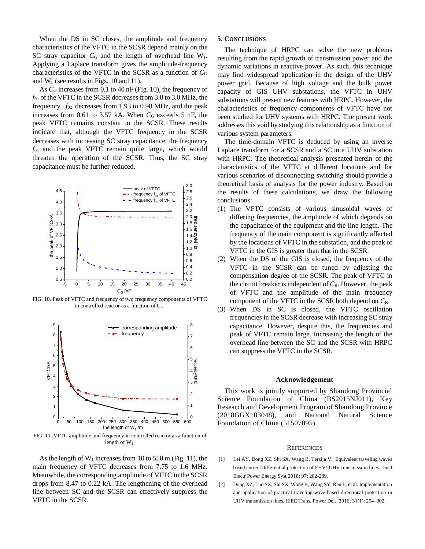When the DS in SC closes, the amplitude and frequency characteristics of the VFTC in the SCSR depend mainly on the SC stray capacitor  $C_G$  and the length of overhead line  $W_1$ . Applying a Laplace transform gives the amplitude-frequency characteristics of the VFTC in the SCSR as a function of *C*<sup>G</sup> and  $W_1$  (see results in Figs. 10 and 11).

As  $C_G$  increases from 0.1 to 40 nF (Fig. 10), the frequency of *f*<sup>01</sup> of the VFTC in the SCSR decreases from 3.8 to 3.0 MHz, the frequency  $f_{02}$  decreases from 1.93 to 0.98 MHz, and the peak increases from  $0.61$  to  $3.57$  kA. When  $C_G$  exceeds  $5$  nF, the peak VFTC remains constant in the SCSR. These results indicate that, although the VFTC frequency in the SCSR decreases with increasing SC stray capacitance, the frequency *f*<sup>01</sup> and the peak VFTC remain quite large, which would threaten the operation of the SCSR. Thus, the SC stray capacitance must be further reduced.



FIG. 10. Peak of VFTC and frequency of two frequency components of VFTC in controlled reactor as a function of  $C_G$ .



FIG. 11. VFTC amplitude and frequency in controlled reactor as a function of length of  $W_1$ .

As the length of  $W_1$  increases from 10 to 550 m (Fig. 11), the main frequency of VFTC decreases from 7.75 to 1.6 MHz. Meanwhile, the corresponding amplitude of VFTC in the SCSR drops from 8.47 to 0.22 kA. The lengthening of the overhead line between SC and the SCSR can effectively suppress the VFTC in the SCSR.

#### **5. CONCLUSIONS**

The technique of HRPC can solve the new problems resulting from the rapid growth of transmission power and the dynamic variations in reactive power. As such, this technique may find widespread application in the design of the UHV power grid. Because of high voltage and the bulk power capacity of GIS UHV substations, the VFTC in UHV substations will present new features with HRPC. However, the characteristics of frequency components of VFTC have not been studied for UHV systems with HRPC. The present work addresses this void by studying this relationship as a function of various system parameters.

2.6 conclusions: 2.8 the results of these calculations, we draw the following 3.0 theoretical basis of analysis for the power industry. Based on The time-domain VFTC is deduced by using an inverse Laplace transform for a SCSR and a SC in a UHV substation with HRPC. The theoretical analysis presented herein of the characteristics of the VFTC at different locations and for various scenarios of disconnecting switching should provide a

- $1.0 \overline{N}$   $N \overline{N}$ <sup>1.2</sup>  $\leq$  by the locations of VFTC in the substation, and the peak of  $1.4\text{ }Q$  requ  $1.6 \Omega$ the capacitance of the equipment and the line length. The  $2.0 \frac{1}{6}$  differing frequencies, the amplitude of which depends on 2.2  $(1)$  1 III e  $2.4$  (1) The VFTC consists of various sinusoidal waves of frequency<br>  $\sum_{n=1}^{\infty}$ <br>  $\sum_{n=1}^{\infty}$ <br>  $\sum_{n=1}^{\infty}$ <br>  $\sum_{n=1}^{\infty}$ <br>  $\sum_{n=1}^{\infty}$ <br>  $\sum_{n=1}^{\infty}$ <br>  $\sum_{n=1}^{\infty}$ frequency of the main component is significantly affected VFTC in the GIS is greater than that in the SCSR.
- $0.0$  come 0.2 compensation degree of the SCSR. The peak of VFTC in 0.4 VFTC in the SCSR can be tuned by adjusting the  $(2)$  wile  $\frac{0.8}{0.6}$  (2) When the DS of the GIS is closed, the frequency of the the circuit breaker is independent of *C*R. However, the peak of VFTC and the amplitude of the main frequency component of the VFTC in the SCSR both depend on *C*R.
- <sup>6</sup> can suppress the VFTC in the SCSR. 7 peak of VFTC remain large. Increasing the length of the <sup>8</sup> capacitance. However, despite this, the frequencies and (3) When DS in SC is closed, the VFTC oscillation frequencies in the SCSR decrease with increasing SC stray overhead line between the SC and the SCSR with HRPC

#### **Acknowledgement**

0 (2018GGX103048), and National Natural Science <sup>1</sup> Research and Development Program of Shandong Province 2 This work is jointly supported by Shandong Provincial Science Foundation of China (BS2015NJ011), Key Foundation of China (51507095).

#### **REFERENCES**

- [1] Lei AY, Dong XZ, Shi SX, Wang B, Terzija V. Equivalent traveling waves based current differential protection of EHV/ UHV transmission lines. Int J Electr Power Energy Syst 2018; 97: 282-289.
- [2] Dong XZ, Luo SX, Shi SX, Wang B, Wang SY, Ren L, et al. Implementation and application of practical traveling-wave-based directional protection in UHV transmission lines. IEEE Trans. Power Del. 2016; 31(1): 294–302.